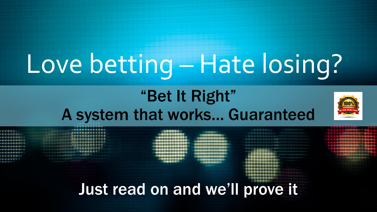# Love betting – Hate losing?

# "Bet It Right" A system that works… Guaranteed



| Just read on and we'll prove it |  |  |
|---------------------------------|--|--|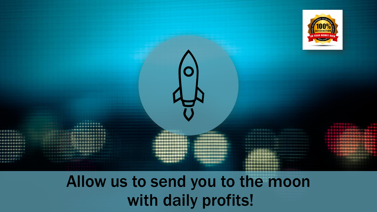

Allow us to send you to the moon with daily profits!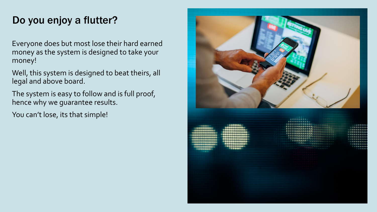### Do you enjoy a flutter?

Everyone does but most lose their hard earned money as the system is designed to take your money!

Well, this system is designed to beat theirs, all legal and above board.

The system is easy to follow and is full proof, hence why we guarantee results.

You can't lose, its that simple!

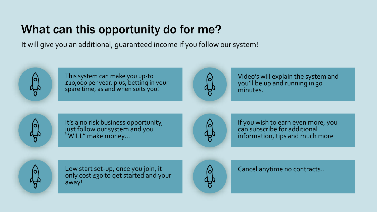# What can this opportunity do for me?

It will give you an additional, guaranteed income if you follow our system!



This system can make you up-to £10,000 per year, plus, betting in your spare time, as and when suits you!



Video's will explain the system and you'll be up and running in 30 minutes.



It's a no risk business opportunity, just follow our system and you "WILL" make money…



If you wish to earn even more, you can subscribe for additional information, tips and much more



Low start set-up, once you join, it only cost £30 to get started and your away!



Cancel anytime no contracts..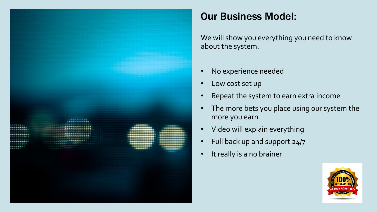

## Our Business Model:

We will show you everything you need to know about the system.

- No experience needed
- Low cost set up
- Repeat the system to earn extra income
- The more bets you place using our system the more you earn
- Video will explain everything
- Full back up and support 24/7
- It really is a no brainer

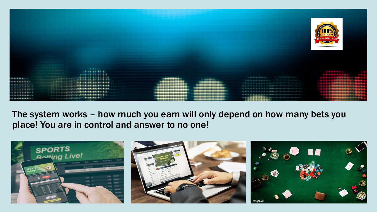

The system works – how much you earn will only depend on how many bets you place! You are in control and answer to no one!

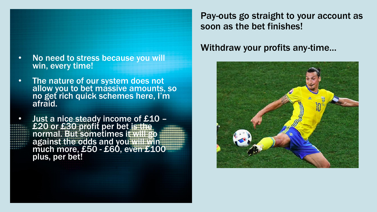

- The nature of our system does not allow you to bet massive amounts, so no get rich quick schemes here, I'm afraid.
- Just a nice steady income of £10 £20 or £30 profit per bet is the normal. But sometimes it will go against the odds and you will win much more, £50 - £60, even £100 plus, per bet!

Pay-outs go straight to your account as soon as the bet finishes!

### Withdraw your profits any-time…

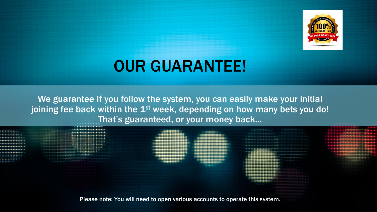

# OUR GUARANTEE!

We guarantee if you follow the system, you can easily make your initial joining fee back within the 1<sup>st</sup> week, depending on how many bets you do! That's guaranteed, or your money back…



Please note: You will need to open various accounts to operate this system.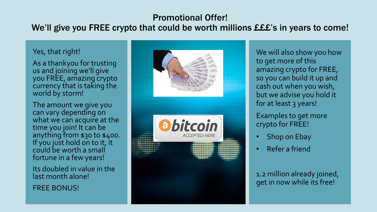### Promotional Offer!

### We'll give you FREE crypto that could be worth millions £££'s in years to come!

#### Yes, that right!

As a thankyou for trusting us and joining we'll give you FREE, amazing crypto currency that is taking the world by storm!

The amount we give you can vary depending on what we can acquire at the time you join! It can be anything from \$30 to \$400. If you just hold on to it, it could be worth a small fortune in a few years!

Its doubled in value in the last month alone!

FREE BONUS!



We will also show you how to get more of this amazing crypto for FREE, so you can build it up and cash out when you wish, but we advise you hold it for at least 3 years!

Examples to get more crypto for FREE!

- Shop on Ebay
- Refer a friend

1.2 million already joined, get in now while its free!